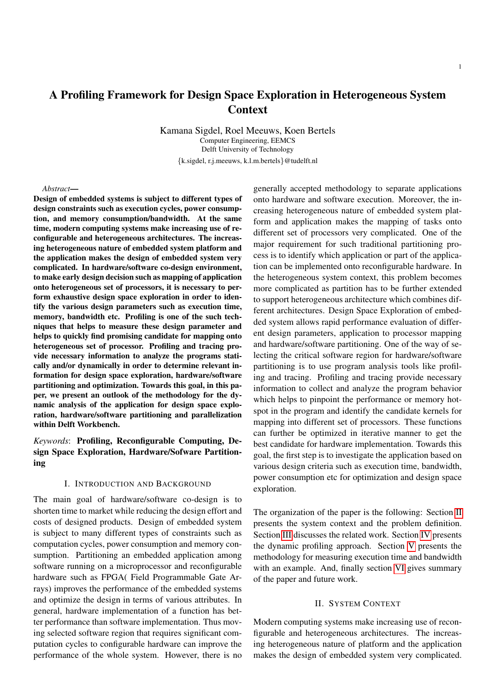# A Profiling Framework for Design Space Exploration in Heterogeneous System Context

Kamana Sigdel, Roel Meeuws, Koen Bertels Computer Engineering, EEMCS Delft University of Technology {k.sigdel, r.j.meeuws, k.l.m.bertels}@tudelft.nl

#### *Abstract*—

Design of embedded systems is subject to different types of design constraints such as execution cycles, power consumption, and memory consumption/bandwidth. At the same time, modern computing systems make increasing use of reconfigurable and heterogeneous architectures. The increasing heterogeneous nature of embedded system platform and the application makes the design of embedded system very complicated. In hardware/software co-design environment, to make early design decision such as mapping of application onto heterogeneous set of processors, it is necessary to perform exhaustive design space exploration in order to identify the various design parameters such as execution time, memory, bandwidth etc. Profiling is one of the such techniques that helps to measure these design parameter and helps to quickly find promising candidate for mapping onto heterogeneous set of processor. Profiling and tracing provide necessary information to analyze the programs statically and/or dynamically in order to determine relevant information for design space exploration, hardware/software partitioning and optimization. Towards this goal, in this paper, we present an outlook of the methodology for the dynamic analysis of the application for design space exploration, hardware/software partitioning and parallelization within Delft Workbench.

*Keywords*: Profiling, Reconfigurable Computing, Design Space Exploration, Hardware/Sofware Partitioning

## I. INTRODUCTION AND BACKGROUND

The main goal of hardware/software co-design is to shorten time to market while reducing the design effort and costs of designed products. Design of embedded system is subject to many different types of constraints such as computation cycles, power consumption and memory consumption. Partitioning an embedded application among software running on a microprocessor and reconfigurable hardware such as FPGA( Field Programmable Gate Arrays) improves the performance of the embedded systems and optimize the design in terms of various attributes. In general, hardware implementation of a function has better performance than software implementation. Thus moving selected software region that requires significant computation cycles to configurable hardware can improve the performance of the whole system. However, there is no generally accepted methodology to separate applications onto hardware and software execution. Moreover, the increasing heterogeneous nature of embedded system platform and application makes the mapping of tasks onto different set of processors very complicated. One of the major requirement for such traditional partitioning process is to identify which application or part of the application can be implemented onto reconfigurable hardware. In the heterogeneous system context, this problem becomes more complicated as partition has to be further extended to support heterogeneous architecture which combines different architectures. Design Space Exploration of embedded system allows rapid performance evaluation of different design parameters, application to processor mapping and hardware/software partitioning. One of the way of selecting the critical software region for hardware/software partitioning is to use program analysis tools like profiling and tracing. Profiling and tracing provide necessary information to collect and analyze the program behavior which helps to pinpoint the performance or memory hotspot in the program and identify the candidate kernels for mapping into different set of processors. These functions can further be optimized in iterative manner to get the best candidate for hardware implementation. Towards this goal, the first step is to investigate the application based on various design criteria such as execution time, bandwidth, power consumption etc for optimization and design space exploration.

The organization of the paper is the following: Section [II](#page-0-0) presents the system context and the problem definition. Section [III](#page-1-0) discusses the related work. Section [IV](#page-1-1) presents the dynamic profiling approach. Section [V](#page-2-0) presents the methodology for measuring execution time and bandwidth with an example. And, finally section [VI](#page-4-0) gives summary of the paper and future work.

#### II. SYSTEM CONTEXT

<span id="page-0-0"></span>Modern computing systems make increasing use of reconfigurable and heterogeneous architectures. The increasing heterogeneous nature of platform and the application makes the design of embedded system very complicated.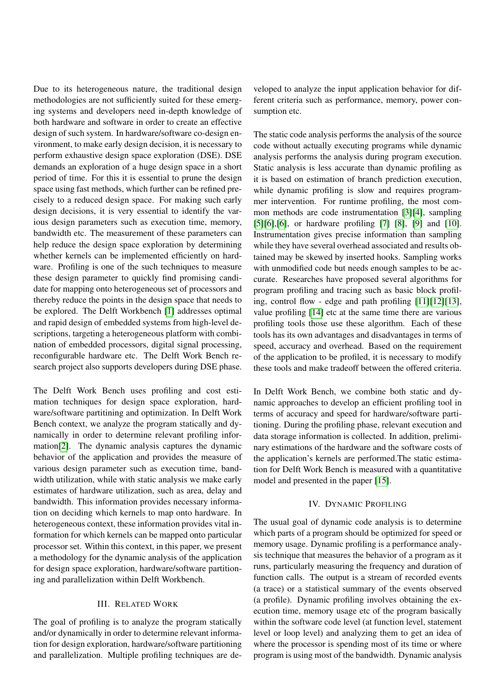Due to its heterogeneous nature, the traditional design methodologies are not sufficiently suited for these emerging systems and developers need in-depth knowledge of both hardware and software in order to create an effective design of such system. In hardware/software co-design environment, to make early design decision, it is necessary to perform exhaustive design space exploration (DSE). DSE demands an exploration of a huge design space in a short period of time. For this it is essential to prune the design space using fast methods, which further can be refined precisely to a reduced design space. For making such early design decisions, it is very essential to identify the various design parameters such as execution time, memory, bandwidth etc. The measurement of these parameters can help reduce the design space exploration by determining whether kernels can be implemented efficiently on hardware. Profiling is one of the such techniques to measure these design parameter to quickly find promising candidate for mapping onto heterogeneous set of processors and thereby reduce the points in the design space that needs to be explored. The Delft Workbench [\[1\]](#page-4-1) addresses optimal and rapid design of embedded systems from high-level descriptions, targeting a heterogeneous platform with combination of embedded processors, digital signal processing, reconfigurable hardware etc. The Delft Work Bench research project also supports developers during DSE phase.

The Delft Work Bench uses profiling and cost estimation techniques for design space exploration, hardware/software partitining and optimization. In Delft Work Bench context, we analyze the program statically and dynamically in order to determine relevant profiling information[\[2\]](#page-4-2). The dynamic analysis captures the dynamic behavior of the application and provides the measure of various design parameter such as execution time, bandwidth utilization, while with static analysis we make early estimates of hardware utilization, such as area, delay and bandwidth. This information provides necessary information on deciding which kernels to map onto hardware. In heterogeneous context, these information provides vital information for which kernels can be mapped onto particular processor set. Within this context, in this paper, we present a methodology for the dynamic analysis of the application for design space exploration, hardware/software partitioning and parallelization within Delft Workbench.

# III. RELATED WORK

<span id="page-1-0"></span>The goal of profiling is to analyze the program statically and/or dynamically in order to determine relevant information for design exploration, hardware/software partitioning and parallelization. Multiple profiling techniques are de-

veloped to analyze the input application behavior for different criteria such as performance, memory, power consumption etc.

The static code analysis performs the analysis of the source code without actually executing programs while dynamic analysis performs the analysis during program execution. Static analysis is less accurate than dynamic profiling as it is based on estimation of branch prediction execution, while dynamic profiling is slow and requires programmer intervention. For runtime profiling, the most common methods are code instrumentation [\[3\]](#page-4-3)[\[4\]](#page-4-4), sampling [\[5\]](#page-4-5)[\[6\]](#page-4-6),[6], or hardware profiling [\[7\]](#page-5-0) [\[8\]](#page-5-1), [\[9\]](#page-5-2) and [\[10\]](#page-5-3). Instrumentation gives precise information than sampling while they have several overhead associated and results obtained may be skewed by inserted hooks. Sampling works with unmodified code but needs enough samples to be accurate. Researches have proposed several algorithms for program profiling and tracing such as basic block profiling, control flow - edge and path profiling [\[11\]](#page-5-4)[\[12\]](#page-5-5)[\[13\]](#page-5-6), value profiling [\[14\]](#page-5-7) etc at the same time there are various profiling tools those use these algorithm. Each of these tools has its own advantages and disadvantages in terms of speed, accuracy and overhead. Based on the requirement of the application to be profiled, it is necessary to modify these tools and make tradeoff between the offered criteria.

In Delft Work Bench, we combine both static and dynamic approaches to develop an efficient profiling tool in terms of accuracy and speed for hardware/software partitioning. During the profiling phase, relevant execution and data storage information is collected. In addition, preliminary estimations of the hardware and the software costs of the application's kernels are performed.The static estimation for Delft Work Bench is measured with a quantitative model and presented in the paper [\[15\]](#page-5-8).

## IV. DYNAMIC PROFILING

<span id="page-1-1"></span>The usual goal of dynamic code analysis is to determine which parts of a program should be optimized for speed or memory usage. Dynamic profiling is a performance analysis technique that measures the behavior of a program as it runs, particularly measuring the frequency and duration of function calls. The output is a stream of recorded events (a trace) or a statistical summary of the events observed (a profile). Dynamic profiling involves obtaining the execution time, memory usage etc of the program basically within the software code level (at function level, statement level or loop level) and analyzing them to get an idea of where the processor is spending most of its time or where program is using most of the bandwidth. Dynamic analysis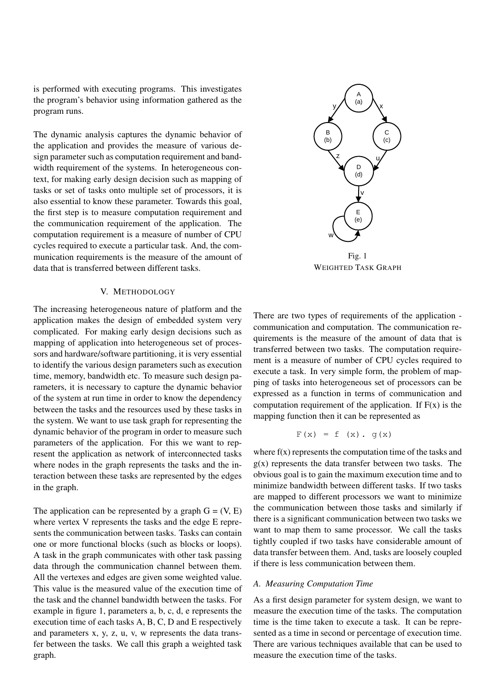is performed with executing programs. This investigates the program's behavior using information gathered as the program runs.

The dynamic analysis captures the dynamic behavior of the application and provides the measure of various design parameter such as computation requirement and bandwidth requirement of the systems. In heterogeneous context, for making early design decision such as mapping of tasks or set of tasks onto multiple set of processors, it is also essential to know these parameter. Towards this goal, the first step is to measure computation requirement and the communication requirement of the application. The computation requirement is a measure of number of CPU cycles required to execute a particular task. And, the communication requirements is the measure of the amount of data that is transferred between different tasks.

# V. METHODOLOGY

<span id="page-2-0"></span>The increasing heterogeneous nature of platform and the application makes the design of embedded system very complicated. For making early design decisions such as mapping of application into heterogeneous set of processors and hardware/software partitioning, it is very essential to identify the various design parameters such as execution time, memory, bandwidth etc. To measure such design parameters, it is necessary to capture the dynamic behavior of the system at run time in order to know the dependency between the tasks and the resources used by these tasks in the system. We want to use task graph for representing the dynamic behavior of the program in order to measure such parameters of the application. For this we want to represent the application as network of interconnected tasks where nodes in the graph represents the tasks and the interaction between these tasks are represented by the edges in the graph.

The application can be represented by a graph  $G = (V, E)$ where vertex V represents the tasks and the edge E represents the communication between tasks. Tasks can contain one or more functional blocks (such as blocks or loops). A task in the graph communicates with other task passing data through the communication channel between them. All the vertexes and edges are given some weighted value. This value is the measured value of the execution time of the task and the channel bandwidth between the tasks. For example in figure 1, parameters a, b, c, d, e represents the execution time of each tasks A, B, C, D and E respectively and parameters x, y, z, u, v, w represents the data transfer between the tasks. We call this graph a weighted task graph.



WEIGHTED TASK GRAPH

There are two types of requirements of the application communication and computation. The communication requirements is the measure of the amount of data that is transferred between two tasks. The computation requirement is a measure of number of CPU cycles required to execute a task. In very simple form, the problem of mapping of tasks into heterogeneous set of processors can be expressed as a function in terms of communication and computation requirement of the application. If  $F(x)$  is the mapping function then it can be represented as

$$
F(x) = f(x), g(x)
$$

where  $f(x)$  represents the computation time of the tasks and  $g(x)$  represents the data transfer between two tasks. The obvious goal is to gain the maximum execution time and to minimize bandwidth between different tasks. If two tasks are mapped to different processors we want to minimize the communication between those tasks and similarly if there is a significant communication between two tasks we want to map them to same processor. We call the tasks tightly coupled if two tasks have considerable amount of data transfer between them. And, tasks are loosely coupled if there is less communication between them.

## *A. Measuring Computation Time*

As a first design parameter for system design, we want to measure the execution time of the tasks. The computation time is the time taken to execute a task. It can be represented as a time in second or percentage of execution time. There are various techniques available that can be used to measure the execution time of the tasks.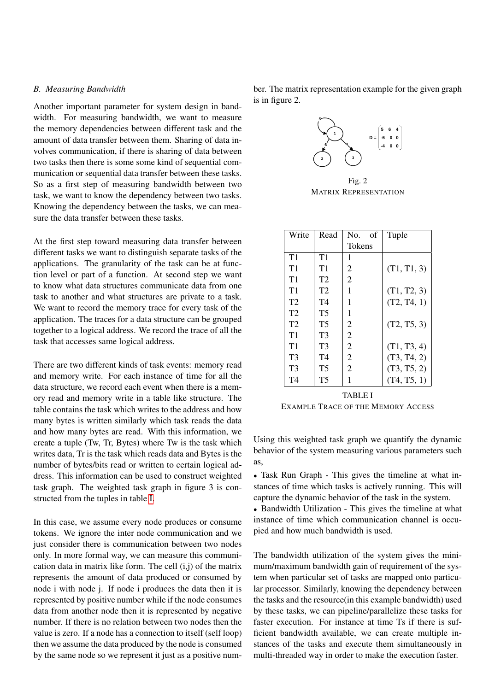# *B. Measuring Bandwidth*

Another important parameter for system design in bandwidth. For measuring bandwidth, we want to measure the memory dependencies between different task and the amount of data transfer between them. Sharing of data involves communication, if there is sharing of data between two tasks then there is some some kind of sequential communication or sequential data transfer between these tasks. So as a first step of measuring bandwidth between two task, we want to know the dependency between two tasks. Knowing the dependency between the tasks, we can measure the data transfer between these tasks.

At the first step toward measuring data transfer between different tasks we want to distinguish separate tasks of the applications. The granularity of the task can be at function level or part of a function. At second step we want to know what data structures communicate data from one task to another and what structures are private to a task. We want to record the memory trace for every task of the application. The traces for a data structure can be grouped together to a logical address. We record the trace of all the task that accesses same logical address.

There are two different kinds of task events: memory read and memory write. For each instance of time for all the data structure, we record each event when there is a memory read and memory write in a table like structure. The table contains the task which writes to the address and how many bytes is written similarly which task reads the data and how many bytes are read. With this information, we create a tuple (Tw, Tr, Bytes) where Tw is the task which writes data, Tr is the task which reads data and Bytes is the number of bytes/bits read or written to certain logical address. This information can be used to construct weighted task graph. The weighted task graph in figure 3 is constructed from the tuples in table [I.](#page-3-0)

In this case, we assume every node produces or consume tokens. We ignore the inter node communication and we just consider there is communication between two nodes only. In more formal way, we can measure this communication data in matrix like form. The cell  $(i,j)$  of the matrix represents the amount of data produced or consumed by node i with node j. If node i produces the data then it is represented by positive number while if the node consumes data from another node then it is represented by negative number. If there is no relation between two nodes then the value is zero. If a node has a connection to itself (self loop) then we assume the data produced by the node is consumed by the same node so we represent it just as a positive number. The matrix representation example for the given graph is in figure 2.



Fig. 2 MATRIX REPRESENTATION

| Write          | Read           | No.<br>οf      | Tuple       |
|----------------|----------------|----------------|-------------|
|                |                | Tokens         |             |
| T1             | T1             | 1              |             |
| T1             | T1             | $\overline{2}$ | (T1, T1, 3) |
| T1             | T2             | $\overline{2}$ |             |
| T1             | T2             | 1              | (T1, T2, 3) |
| T2             | T <sub>4</sub> | 1              | (T2, T4, 1) |
| T2             | <b>T5</b>      | 1              |             |
| T <sub>2</sub> | T5             | 2              | (T2, T5, 3) |
| T1             | T3             | $\overline{2}$ |             |
| T1             | T3             | $\overline{2}$ | (T1, T3, 4) |
| T <sub>3</sub> | T4             | $\overline{2}$ | (T3, T4, 2) |
| T <sub>3</sub> | T <sub>5</sub> | $\overline{2}$ | (T3, T5, 2) |
| T4             | T <sub>5</sub> |                | (T4, T5, 1) |

<span id="page-3-0"></span>TABLE I EXAMPLE TRACE OF THE MEMORY ACCESS

Using this weighted task graph we quantify the dynamic behavior of the system measuring various parameters such as,

• Task Run Graph - This gives the timeline at what instances of time which tasks is actively running. This will capture the dynamic behavior of the task in the system.

• Bandwidth Utilization - This gives the timeline at what instance of time which communication channel is occupied and how much bandwidth is used.

The bandwidth utilization of the system gives the minimum/maximum bandwidth gain of requirement of the system when particular set of tasks are mapped onto particular processor. Similarly, knowing the dependency between the tasks and the resource(in this example bandwidth) used by these tasks, we can pipeline/parallelize these tasks for faster execution. For instance at time Ts if there is sufficient bandwidth available, we can create multiple instances of the tasks and execute them simultaneously in multi-threaded way in order to make the execution faster.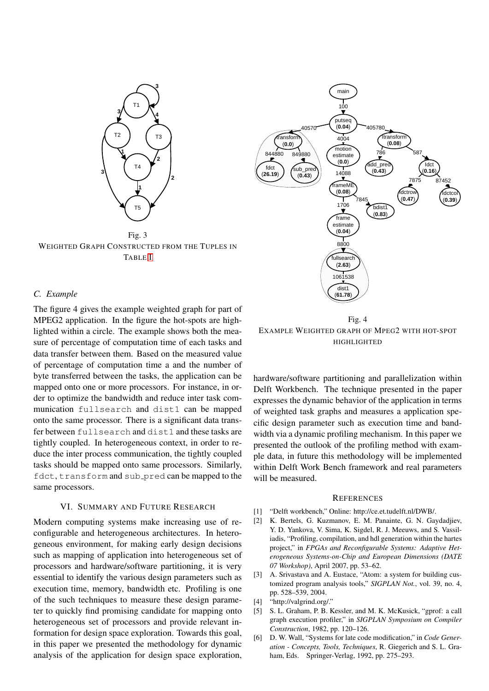

Fig. 3 WEIGHTED GRAPH CONSTRUCTED FROM THE TUPLES IN TABLE [I](#page-3-0)



## *C. Example*

The figure 4 gives the example weighted graph for part of MPEG2 application. In the figure the hot-spots are highlighted within a circle. The example shows both the measure of percentage of computation time of each tasks and data transfer between them. Based on the measured value of percentage of computation time a and the number of byte transferred between the tasks, the application can be mapped onto one or more processors. For instance, in order to optimize the bandwidth and reduce inter task communication fullsearch and dist1 can be mapped onto the same processor. There is a significant data transfer between fullsearch and dist1 and these tasks are tightly coupled. In heterogeneous context, in order to reduce the inter process communication, the tightly coupled tasks should be mapped onto same processors. Similarly, fdct, transform and sub\_pred can be mapped to the same processors.

## VI. SUMMARY AND FUTURE RESEARCH

<span id="page-4-0"></span>Modern computing systems make increasing use of reconfigurable and heterogeneous architectures. In heterogeneous environment, for making early design decisions such as mapping of application into heterogeneous set of processors and hardware/software partitioning, it is very essential to identify the various design parameters such as execution time, memory, bandwidth etc. Profiling is one of the such techniques to measure these design parameter to quickly find promising candidate for mapping onto heterogeneous set of processors and provide relevant information for design space exploration. Towards this goal, in this paper we presented the methodology for dynamic analysis of the application for design space exploration,

Fig. 4 EXAMPLE WEIGHTED GRAPH OF MPEG2 WITH HOT-SPOT HIGHLIGHTED

hardware/software partitioning and parallelization within Delft Workbench. The technique presented in the paper expresses the dynamic behavior of the application in terms of weighted task graphs and measures a application specific design parameter such as execution time and bandwidth via a dynamic profiling mechanism. In this paper we presented the outlook of the profiling method with example data, in future this methodology will be implemented within Delft Work Bench framework and real parameters will be measured.

## **REFERENCES**

- <span id="page-4-1"></span>[1] "Delft workbench," Online: http://ce.et.tudelft.nl/DWB/.
- <span id="page-4-2"></span>[2] K. Bertels, G. Kuzmanov, E. M. Panainte, G. N. Gaydadjiev, Y. D. Yankova, V. Sima, K. Sigdel, R. J. Meeuws, and S. Vassiliadis, "Profiling, compilation, and hdl generation within the hartes project," in *FPGAs and Reconfigurable Systems: Adaptive Heterogeneous Systems-on-Chip and European Dimensions (DATE 07 Workshop)*, April 2007, pp. 53–62.
- <span id="page-4-3"></span>[3] A. Srivastava and A. Eustace, "Atom: a system for building customized program analysis tools," *SIGPLAN Not.*, vol. 39, no. 4, pp. 528–539, 2004.
- <span id="page-4-4"></span>[4] "http://valgrind.org/."
- <span id="page-4-5"></span>[5] S. L. Graham, P. B. Kessler, and M. K. McKusick, "gprof: a call graph execution profiler," in *SIGPLAN Symposium on Compiler Construction*, 1982, pp. 120–126.
- <span id="page-4-6"></span>[6] D. W. Wall, "Systems for late code modification," in *Code Generation - Concepts, Tools, Techniques*, R. Giegerich and S. L. Graham, Eds. Springer-Verlag, 1992, pp. 275–293.